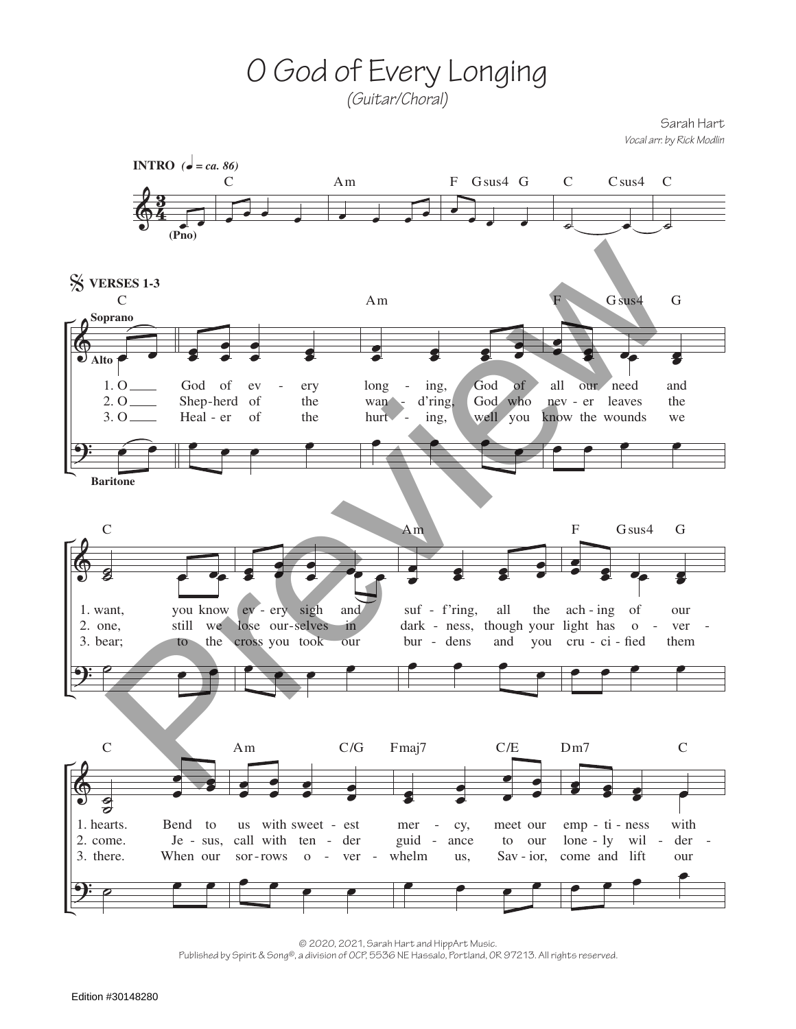O God of Every Longing (Guitar/Choral)

Sarah Hart Vocal arr. by Rick Modlin



© 2020, 2021, Sarah Hart and HippArt Music. Published by Spirit & Song®, a division of OCP, 5536 NE Hassalo, Portland, OR 97213. All rights reserved.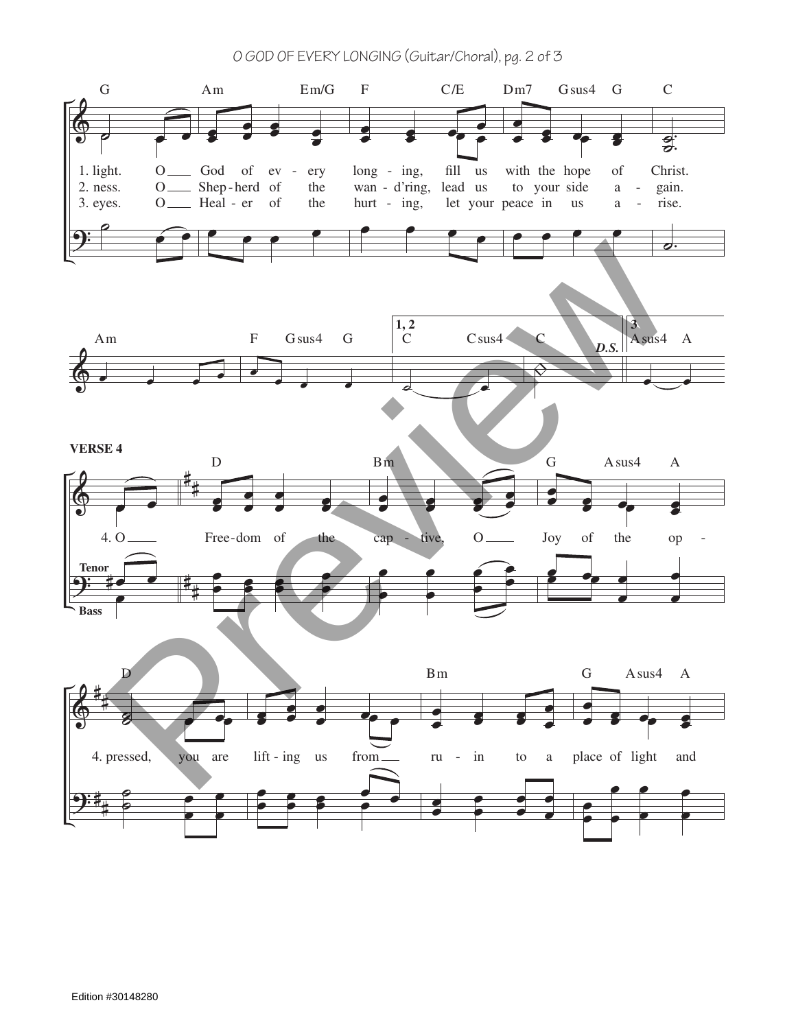O GOD OF EVERY LONGING (Guitar/Choral), pg. 2 of 3